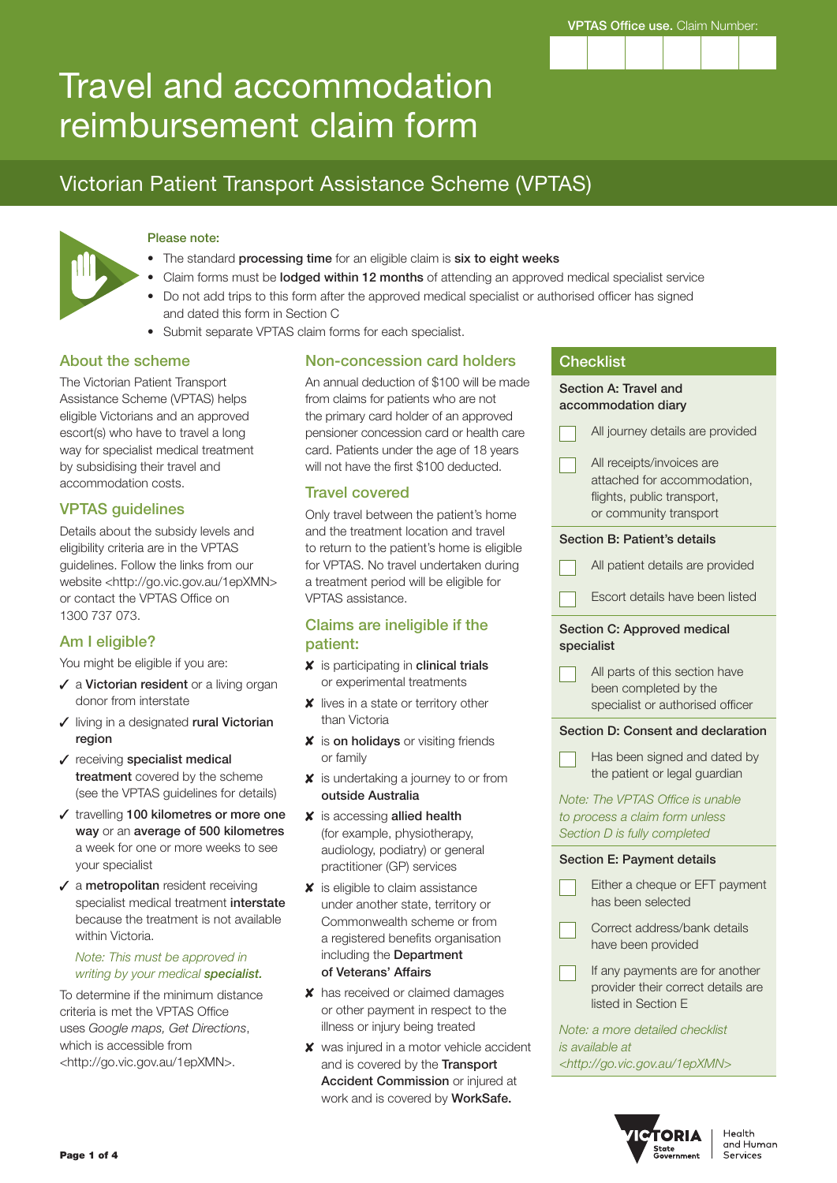

# Travel and accommodation reimbursement claim form

# Victorian Patient Transport Assistance Scheme (VPTAS)



#### Please note:

- The standard processing time for an eligible claim is six to eight weeks
- Claim forms must be lodged within 12 months of attending an approved medical specialist service
- Do not add trips to this form after the approved medical specialist or authorised officer has signed and dated this form in Section C
- Submit separate VPTAS claim forms for each specialist.

#### About the scheme

The Victorian Patient Transport Assistance Scheme (VPTAS) helps eligible Victorians and an approved escort(s) who have to travel a long way for specialist medical treatment by subsidising their travel and accommodation costs.

## VPTAS guidelines

Details about the subsidy levels and eligibility criteria are in the VPTAS guidelines. Follow the links from our website <http://go.vic.gov.au/1epXMN> or contact the VPTAS Office on 1300 737 073.

## Am I eligible?

You might be eligible if you are:

- $\checkmark$  a Victorian resident or a living organ donor from interstate
- $\checkmark$  living in a designated rural Victorian region
- $\checkmark$  receiving specialist medical treatment covered by the scheme (see the VPTAS guidelines for details)
- $\checkmark$  travelling 100 kilometres or more one way or an average of 500 kilometres a week for one or more weeks to see your specialist
- $\sqrt{\ }$  a metropolitan resident receiving specialist medical treatment interstate because the treatment is not available within Victoria.

#### *Note: This must be approved in writing by your medical specialist.*

To determine if the minimum distance criteria is met the VPTAS Office uses *Google maps, Get Directions*, which is accessible from <http://go.vic.gov.au/1epXMN>.

#### Non-concession card holders

An annual deduction of \$100 will be made from claims for patients who are not the primary card holder of an approved pensioner concession card or health care card. Patients under the age of 18 years will not have the first \$100 deducted.

#### Travel covered

Only travel between the patient's home and the treatment location and travel to return to the patient's home is eligible for VPTAS. No travel undertaken during a treatment period will be eligible for VPTAS assistance.

#### Claims are ineligible if the patient:

- $x$  is participating in clinical trials or experimental treatments
- **x** lives in a state or territory other than Victoria
- **X** is on holidays or visiting friends or family
- $\boldsymbol{\mathsf{X}}$  is undertaking a journey to or from outside Australia
- $x$  is accessing allied health (for example, physiotherapy, audiology, podiatry) or general practitioner (GP) services
- $\boldsymbol{\mathsf{X}}$  is eligible to claim assistance under another state, territory or Commonwealth scheme or from a registered benefits organisation including the Department of Veterans' Affairs
- **x** has received or claimed damages or other payment in respect to the illness or injury being treated
- **x** was injured in a motor vehicle accident and is covered by the Transport Accident Commission or injured at work and is covered by WorkSafe.

|                                                                                                    | <b>Checklist</b>                                                                                                 |  |  |  |  |  |  |  |
|----------------------------------------------------------------------------------------------------|------------------------------------------------------------------------------------------------------------------|--|--|--|--|--|--|--|
| Section A: Travel and<br>accommodation diary                                                       |                                                                                                                  |  |  |  |  |  |  |  |
|                                                                                                    | All journey details are provided                                                                                 |  |  |  |  |  |  |  |
|                                                                                                    | All receipts/invoices are<br>attached for accommodation,<br>flights, public transport,<br>or community transport |  |  |  |  |  |  |  |
| Section B: Patient's details                                                                       |                                                                                                                  |  |  |  |  |  |  |  |
|                                                                                                    | All patient details are provided                                                                                 |  |  |  |  |  |  |  |
|                                                                                                    | Escort details have been listed                                                                                  |  |  |  |  |  |  |  |
|                                                                                                    | Section C: Approved medical<br>specialist                                                                        |  |  |  |  |  |  |  |
|                                                                                                    | All parts of this section have<br>been completed by the<br>specialist or authorised officer                      |  |  |  |  |  |  |  |
|                                                                                                    | Section D: Consent and declaration                                                                               |  |  |  |  |  |  |  |
|                                                                                                    | Has been signed and dated by<br>the patient or legal guardian                                                    |  |  |  |  |  |  |  |
| Note: The VPTAS Office is unable<br>to process a claim form unless<br>Section D is fully completed |                                                                                                                  |  |  |  |  |  |  |  |
|                                                                                                    | Section E: Payment details                                                                                       |  |  |  |  |  |  |  |
|                                                                                                    | Either a cheque or EFT payment<br>has been selected                                                              |  |  |  |  |  |  |  |
|                                                                                                    | Correct address/bank details<br>have been provided                                                               |  |  |  |  |  |  |  |
|                                                                                                    | If any payments are for another<br>provider their correct details are<br>listed in Section E                     |  |  |  |  |  |  |  |
|                                                                                                    | Note: a more detailed checklist<br>is available at<br><http: 1epxmn="" go.vic.gov.au=""></http:>                 |  |  |  |  |  |  |  |

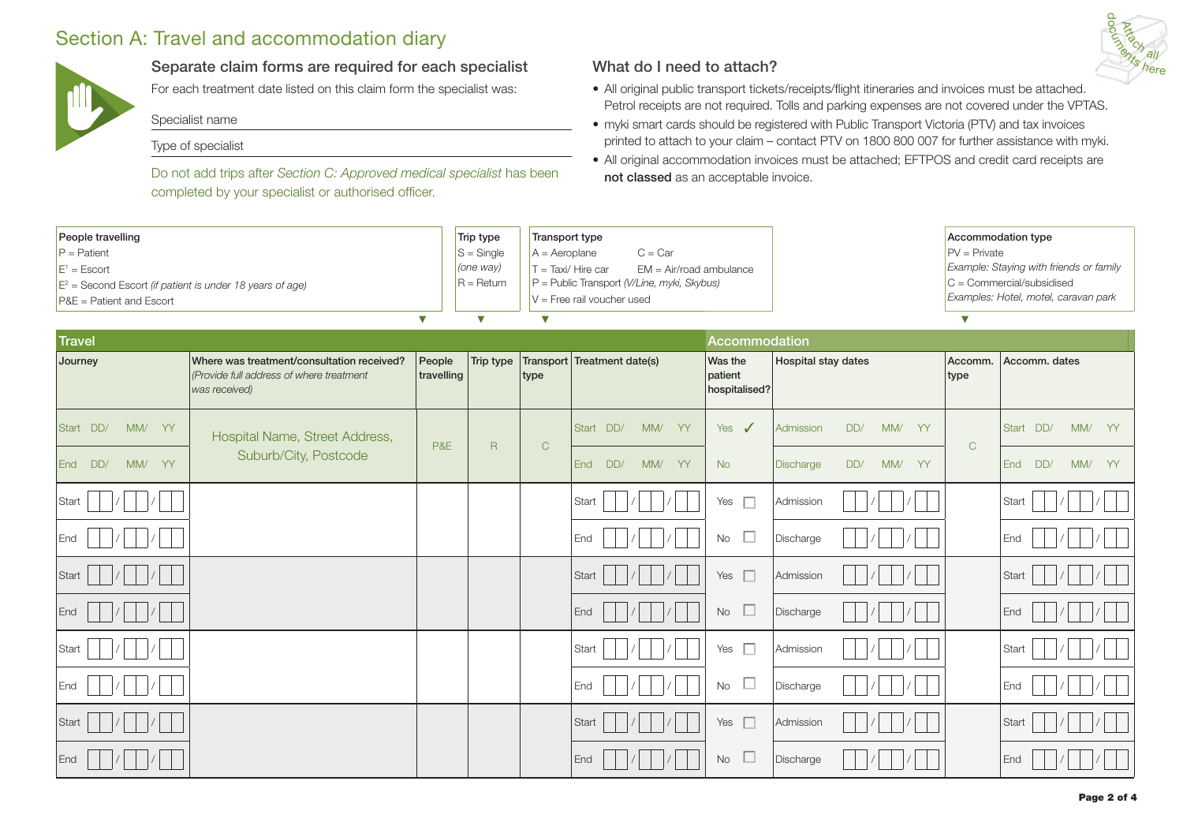# Section A: Travel and accommodation diary



### Separate claim forms are required for each specialist

For each treatment date listed on this claim form the specialist was:

Specialist name

#### Type of specialist

Do not add trips after *Section C: Approved medical specialist* has been completed by your specialist or authorised officer.

#### What do I need to attach?

- All original public transport tickets/receipts/flight itineraries and invoices must be attached. Petrol receipts are not required. Tolls and parking expenses are not covered under the VPTAS.
- myki smart cards should be registered with Public Transport Victoria (PTV) and tax invoices printed to attach to your claim – contact PTV on 1800 800 007 for further assistance with myki.
- All original accommodation invoices must be attached; EFTPOS and credit card receipts are not classed as an acceptable invoice.

| People travelling<br>$P =$ Patient<br>$E^1 = Escort$<br>$E^2$ = Second Escort (if patient is under 18 years of age)<br>P&E = Patient and Escort |                                                                                                         |                      | Trip type<br>$S =$ Single<br>(one way)<br>$R = Return$ | Transport type<br>$C = Car$<br>$A =$ Aeroplane<br>$T = Taxi / Hire car$<br>$EM = Air/road$ ambulance<br>$P =$ Public Transport (V/Line, myki, Skybus)<br>$V =$ Free rail voucher used |                             |                                     |                               |                 | Accommodation type<br>$PV = Private$<br>Example: Staying with friends or family<br>$C = \text{Commercial/subsidised}$<br>Examples: Hotel, motel, caravan park |  |  |
|-------------------------------------------------------------------------------------------------------------------------------------------------|---------------------------------------------------------------------------------------------------------|----------------------|--------------------------------------------------------|---------------------------------------------------------------------------------------------------------------------------------------------------------------------------------------|-----------------------------|-------------------------------------|-------------------------------|-----------------|---------------------------------------------------------------------------------------------------------------------------------------------------------------|--|--|
| <b>Travel</b>                                                                                                                                   | $\bm{\nabla}$                                                                                           | $\triangledown$      | V                                                      |                                                                                                                                                                                       | Accommodation               |                                     | $\overline{\mathbf{v}}$       |                 |                                                                                                                                                               |  |  |
| Journey                                                                                                                                         | Where was treatment/consultation received?<br>(Provide full address of where treatment<br>was received) | People<br>travelling | Trip type                                              | type                                                                                                                                                                                  | Transport Treatment date(s) | Was the<br>patient<br>hospitalised? | <b>Hospital stay dates</b>    | Accomm.<br>type | Accomm. dates                                                                                                                                                 |  |  |
| Start DD/<br>MM/ YY                                                                                                                             | Hospital Name, Street Address,                                                                          |                      |                                                        |                                                                                                                                                                                       | Start DD/<br>MM/<br>YY      | $\sqrt{2}$<br>Yes                   | Admission<br>DD/<br>MM/ YY    |                 | MM/ YY<br>Start DD/                                                                                                                                           |  |  |
| DD/<br>MM/<br>YY<br><b>End</b>                                                                                                                  | Suburb/City, Postcode                                                                                   | P&E                  | $\mathsf{R}$                                           | $\mathsf C$                                                                                                                                                                           | DD/<br>MM/<br>YY<br>End     | <b>No</b>                           | DD/<br>MM/<br>YY<br>Discharge | $\mathsf{C}$    | DD/<br>MM/<br>YY<br>End                                                                                                                                       |  |  |
| Start                                                                                                                                           |                                                                                                         |                      |                                                        |                                                                                                                                                                                       | Start                       | $\Box$<br>Yes                       | Admission                     |                 | Start                                                                                                                                                         |  |  |
| End                                                                                                                                             |                                                                                                         |                      |                                                        |                                                                                                                                                                                       | End                         | $\Box$<br><b>No</b>                 | Discharge                     |                 | End                                                                                                                                                           |  |  |
| Start                                                                                                                                           |                                                                                                         |                      |                                                        |                                                                                                                                                                                       | Start                       | $\Box$<br>Yes                       | Admission                     |                 | Start                                                                                                                                                         |  |  |
| End                                                                                                                                             |                                                                                                         |                      |                                                        |                                                                                                                                                                                       | End                         | $\Box$<br><b>No</b>                 | Discharge                     |                 | End                                                                                                                                                           |  |  |
| Start                                                                                                                                           |                                                                                                         |                      |                                                        |                                                                                                                                                                                       | Start                       | $\Box$<br>Yes                       | Admission                     |                 | Start                                                                                                                                                         |  |  |
| End                                                                                                                                             |                                                                                                         |                      |                                                        |                                                                                                                                                                                       | End                         | $\Box$<br><b>No</b>                 | Discharge                     |                 | End                                                                                                                                                           |  |  |
| Start                                                                                                                                           |                                                                                                         |                      |                                                        |                                                                                                                                                                                       | Start                       | $\Box$<br>Yes                       | Admission                     |                 | Start                                                                                                                                                         |  |  |
| End                                                                                                                                             |                                                                                                         |                      |                                                        |                                                                                                                                                                                       | End                         | ∟<br><b>No</b>                      | Discharge                     |                 | End                                                                                                                                                           |  |  |

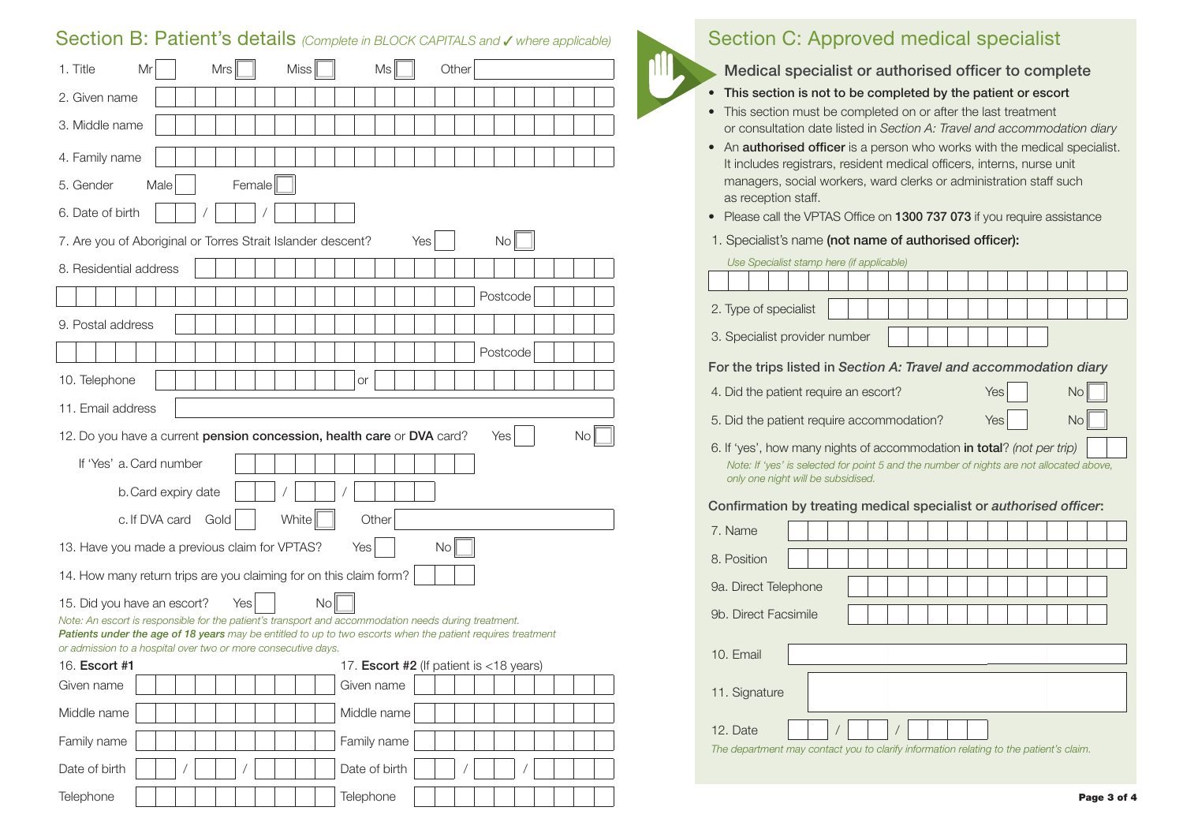## Section B: Patient's details *(Complete in BLOCK CAPITALS and J where applicable)*

| Mrs<br><b>Miss</b><br>1. Title<br>Mr                                                                                                                                                                                | Ms<br>Other                                       |  |  |  |  |  |  |
|---------------------------------------------------------------------------------------------------------------------------------------------------------------------------------------------------------------------|---------------------------------------------------|--|--|--|--|--|--|
| 2. Given name                                                                                                                                                                                                       |                                                   |  |  |  |  |  |  |
| 3. Middle name                                                                                                                                                                                                      |                                                   |  |  |  |  |  |  |
| 4. Family name                                                                                                                                                                                                      |                                                   |  |  |  |  |  |  |
| Female<br>5. Gender<br>Male                                                                                                                                                                                         |                                                   |  |  |  |  |  |  |
| 6. Date of birth                                                                                                                                                                                                    |                                                   |  |  |  |  |  |  |
| 7. Are you of Aboriginal or Torres Strait Islander descent?                                                                                                                                                         | N <sub>O</sub><br>Yes                             |  |  |  |  |  |  |
| 8. Residential address                                                                                                                                                                                              |                                                   |  |  |  |  |  |  |
|                                                                                                                                                                                                                     | Postcode                                          |  |  |  |  |  |  |
| 9. Postal address                                                                                                                                                                                                   |                                                   |  |  |  |  |  |  |
|                                                                                                                                                                                                                     | Postcode                                          |  |  |  |  |  |  |
| 10. Telephone                                                                                                                                                                                                       | or                                                |  |  |  |  |  |  |
| 11. Email address                                                                                                                                                                                                   |                                                   |  |  |  |  |  |  |
| 12. Do you have a current pension concession, health care or DVA card?                                                                                                                                              | Yes<br>No                                         |  |  |  |  |  |  |
| If 'Yes' a. Card number                                                                                                                                                                                             |                                                   |  |  |  |  |  |  |
| b. Card expiry date                                                                                                                                                                                                 |                                                   |  |  |  |  |  |  |
| White<br>c. If DVA card Gold                                                                                                                                                                                        | Other                                             |  |  |  |  |  |  |
| <b>No</b><br>13. Have you made a previous claim for VPTAS?<br>Yes                                                                                                                                                   |                                                   |  |  |  |  |  |  |
| 14. How many return trips are you claiming for on this claim form?                                                                                                                                                  |                                                   |  |  |  |  |  |  |
| No<br>15. Did you have an escort?<br>Yes                                                                                                                                                                            |                                                   |  |  |  |  |  |  |
| Note: An escort is responsible for the patient's transport and accommodation needs during treatment.<br>Patients under the age of 18 years may be entitled to up to two escorts when the patient requires treatment |                                                   |  |  |  |  |  |  |
| or admission to a hospital over two or more consecutive days.                                                                                                                                                       |                                                   |  |  |  |  |  |  |
| 16. Escort #1                                                                                                                                                                                                       | 17. <b>Escort #2</b> (If patient is $<$ 18 years) |  |  |  |  |  |  |
| Given name                                                                                                                                                                                                          | Given name                                        |  |  |  |  |  |  |
| Middle name                                                                                                                                                                                                         | Middle name                                       |  |  |  |  |  |  |
| Family name                                                                                                                                                                                                         | Family name                                       |  |  |  |  |  |  |
| Date of birth                                                                                                                                                                                                       | Date of birth                                     |  |  |  |  |  |  |
| Telephone                                                                                                                                                                                                           | Telephone                                         |  |  |  |  |  |  |

## Section C: Approved medical specialist

#### Medical specialist or authorised officer to complete

- This section is not to be completed by the patient or escort
- This section must be completed on or after the last treatment or consultation date listed in *Section A: Travel and accommodation diary*
- An **authorised officer** is a person who works with the medical specialist. It includes registrars, resident medical officers, interns, nurse unit managers, social workers, ward clerks or administration staff such as reception staff.
- Please call the VPTAS Office on 1300 737 073 if you require assistance
- 1. Specialist's name (not name of authorised officer):

| Use Specialist stamp here (if applicable)                                                                                                                                                                |  |  |  |  |  |  |     |  |    |  |
|----------------------------------------------------------------------------------------------------------------------------------------------------------------------------------------------------------|--|--|--|--|--|--|-----|--|----|--|
|                                                                                                                                                                                                          |  |  |  |  |  |  |     |  |    |  |
| 2. Type of specialist                                                                                                                                                                                    |  |  |  |  |  |  |     |  |    |  |
| 3. Specialist provider number                                                                                                                                                                            |  |  |  |  |  |  |     |  |    |  |
| For the trips listed in Section A: Travel and accommodation diary                                                                                                                                        |  |  |  |  |  |  |     |  |    |  |
| 4. Did the patient require an escort?                                                                                                                                                                    |  |  |  |  |  |  | Yes |  | No |  |
| 5. Did the patient require accommodation?                                                                                                                                                                |  |  |  |  |  |  | Yes |  | No |  |
| 6. If 'yes', how many nights of accommodation in total? (not per trip)<br>Note: If 'yes' is selected for point 5 and the number of nights are not allocated above,<br>only one night will be subsidised. |  |  |  |  |  |  |     |  |    |  |
| Confirmation by treating medical specialist or authorised officer:                                                                                                                                       |  |  |  |  |  |  |     |  |    |  |
| 7. Name                                                                                                                                                                                                  |  |  |  |  |  |  |     |  |    |  |
| 8. Position                                                                                                                                                                                              |  |  |  |  |  |  |     |  |    |  |
| 9a. Direct Telephone                                                                                                                                                                                     |  |  |  |  |  |  |     |  |    |  |
| 9b. Direct Facsimile                                                                                                                                                                                     |  |  |  |  |  |  |     |  |    |  |
| 10. Email                                                                                                                                                                                                |  |  |  |  |  |  |     |  |    |  |
| 11. Signature                                                                                                                                                                                            |  |  |  |  |  |  |     |  |    |  |
| 12. Date                                                                                                                                                                                                 |  |  |  |  |  |  |     |  |    |  |
| The department may contact you to clarify information relating to the patient's claim.                                                                                                                   |  |  |  |  |  |  |     |  |    |  |